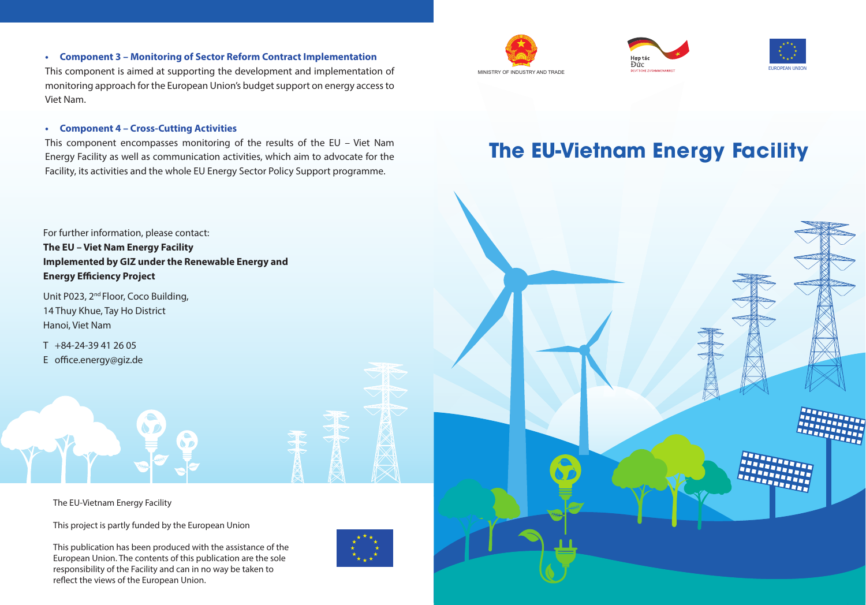#### **• Component 3 – Monitoring of Sector Reform Contract Implementation**

This component is aimed at supporting the development and implementation of monitoring approach for the European Union's budget support on energy access to Viet Nam.

#### **• Component 4 – Cross-Cutting Activities**

This component encompasses monitoring of the results of the EU – Viet Nam Energy Facility as well as communication activities, which aim to advocate for the Facility, its activities and the whole EU Energy Sector Policy Support programme.

For further information, please contact: **The EU – Viet Nam Energy Facility Implemented by GIZ under the Renewable Energy and Energy Efficiency Project**

Unit P023, 2<sup>nd</sup> Floor, Coco Building, 14 Thuy Khue, Tay Ho District Hanoi, Viet Nam

T +84-24-39 41 26 05 E office.energy@giz.de

The EU-Vietnam Energy Facility

This project is partly funded by the European Union

This publication has been produced with the assistance of the European Union. The contents of this publication are the sole responsibility of the Facility and can in no way be taken to reflect the views of the European Union.









### **The EU-Vietnam Energy Facility**